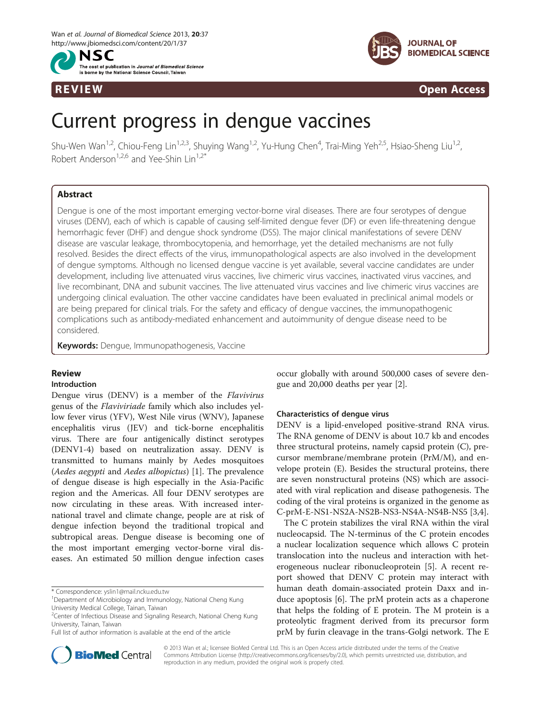





# Current progress in dengue vaccines

Shu-Wen Wan<sup>1,2</sup>, Chiou-Feng Lin<sup>1,2,3</sup>, Shuying Wang<sup>1,2</sup>, Yu-Hung Chen<sup>4</sup>, Trai-Ming Yeh<sup>2,5</sup>, Hsiao-Sheng Liu<sup>1,2</sup>, Robert Anderson<sup>1,2,6</sup> and Yee-Shin Lin<sup>1,2\*</sup>

# Abstract

Dengue is one of the most important emerging vector-borne viral diseases. There are four serotypes of dengue viruses (DENV), each of which is capable of causing self-limited dengue fever (DF) or even life-threatening dengue hemorrhagic fever (DHF) and dengue shock syndrome (DSS). The major clinical manifestations of severe DENV disease are vascular leakage, thrombocytopenia, and hemorrhage, yet the detailed mechanisms are not fully resolved. Besides the direct effects of the virus, immunopathological aspects are also involved in the development of dengue symptoms. Although no licensed dengue vaccine is yet available, several vaccine candidates are under development, including live attenuated virus vaccines, live chimeric virus vaccines, inactivated virus vaccines, and live recombinant, DNA and subunit vaccines. The live attenuated virus vaccines and live chimeric virus vaccines are undergoing clinical evaluation. The other vaccine candidates have been evaluated in preclinical animal models or are being prepared for clinical trials. For the safety and efficacy of dengue vaccines, the immunopathogenic complications such as antibody-mediated enhancement and autoimmunity of dengue disease need to be considered.

Keywords: Dengue, Immunopathogenesis, Vaccine

# Review

# Introduction

Dengue virus (DENV) is a member of the Flavivirus genus of the Flaviviriade family which also includes yellow fever virus (YFV), West Nile virus (WNV), Japanese encephalitis virus (JEV) and tick-borne encephalitis virus. There are four antigenically distinct serotypes (DENV1-4) based on neutralization assay. DENV is transmitted to humans mainly by Aedes mosquitoes (Aedes aegypti and Aedes albopictus) [\[1](#page-5-0)]. The prevalence of dengue disease is high especially in the Asia-Pacific region and the Americas. All four DENV serotypes are now circulating in these areas. With increased international travel and climate change, people are at risk of dengue infection beyond the traditional tropical and subtropical areas. Dengue disease is becoming one of the most important emerging vector-borne viral diseases. An estimated 50 million dengue infection cases

\* Correspondence: [yslin1@mail.ncku.edu.tw](mailto:yslin1@mail.ncku.edu.tw) <sup>1</sup>

occur globally with around 500,000 cases of severe dengue and 20,000 deaths per year [\[2](#page-5-0)].

# Characteristics of dengue virus

DENV is a lipid-enveloped positive-strand RNA virus. The RNA genome of DENV is about 10.7 kb and encodes three structural proteins, namely capsid protein (C), precursor membrane/membrane protein (PrM/M), and envelope protein (E). Besides the structural proteins, there are seven nonstructural proteins (NS) which are associated with viral replication and disease pathogenesis. The coding of the viral proteins is organized in the genome as C-prM-E-NS1-NS2A-NS2B-NS3-NS4A-NS4B-NS5 [[3,4\]](#page-5-0).

The C protein stabilizes the viral RNA within the viral nucleocapsid. The N-terminus of the C protein encodes a nuclear localization sequence which allows C protein translocation into the nucleus and interaction with heterogeneous nuclear ribonucleoprotein [[5\]](#page-5-0). A recent report showed that DENV C protein may interact with human death domain-associated protein Daxx and induce apoptosis [[6\]](#page-5-0). The prM protein acts as a chaperone that helps the folding of E protein. The M protein is a proteolytic fragment derived from its precursor form prM by furin cleavage in the trans-Golgi network. The E



© 2013 Wan et al.; licensee BioMed Central Ltd. This is an Open Access article distributed under the terms of the Creative Commons Attribution License [\(http://creativecommons.org/licenses/by/2.0\)](http://creativecommons.org/licenses/by/2.0), which permits unrestricted use, distribution, and reproduction in any medium, provided the original work is properly cited.

<sup>&</sup>lt;sup>1</sup>Department of Microbiology and Immunology, National Cheng Kung University Medical College, Tainan, Taiwan

<sup>&</sup>lt;sup>2</sup> Center of Infectious Disease and Signaling Research, National Cheng Kung University, Tainan, Taiwan

Full list of author information is available at the end of the article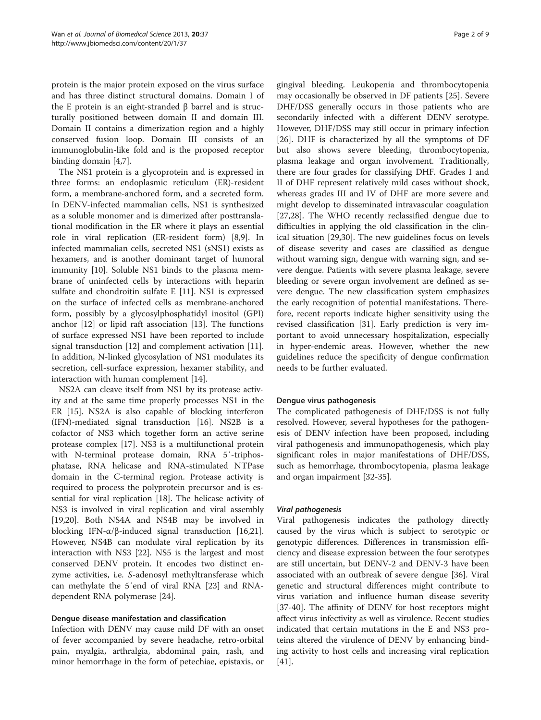protein is the major protein exposed on the virus surface and has three distinct structural domains. Domain I of the E protein is an eight-stranded β barrel and is structurally positioned between domain II and domain III. Domain II contains a dimerization region and a highly conserved fusion loop. Domain III consists of an immunoglobulin-like fold and is the proposed receptor binding domain [[4](#page-5-0),[7\]](#page-5-0).

The NS1 protein is a glycoprotein and is expressed in three forms: an endoplasmic reticulum (ER)-resident form, a membrane-anchored form, and a secreted form. In DENV-infected mammalian cells, NS1 is synthesized as a soluble monomer and is dimerized after posttranslational modification in the ER where it plays an essential role in viral replication (ER-resident form) [[8,9\]](#page-5-0). In infected mammalian cells, secreted NS1 (sNS1) exists as hexamers, and is another dominant target of humoral immunity [[10](#page-5-0)]. Soluble NS1 binds to the plasma membrane of uninfected cells by interactions with heparin sulfate and chondroitin sulfate E [\[11](#page-5-0)]. NS1 is expressed on the surface of infected cells as membrane-anchored form, possibly by a glycosylphosphatidyl inositol (GPI) anchor [\[12\]](#page-5-0) or lipid raft association [\[13](#page-5-0)]. The functions of surface expressed NS1 have been reported to include signal transduction [\[12\]](#page-5-0) and complement activation [\[11](#page-5-0)]. In addition, N-linked glycosylation of NS1 modulates its secretion, cell-surface expression, hexamer stability, and interaction with human complement [\[14](#page-5-0)].

NS2A can cleave itself from NS1 by its protease activity and at the same time properly processes NS1 in the ER [[15\]](#page-5-0). NS2A is also capable of blocking interferon (IFN)-mediated signal transduction [[16\]](#page-5-0). NS2B is a cofactor of NS3 which together form an active serine protease complex [\[17](#page-5-0)]. NS3 is a multifunctional protein with N-terminal protease domain, RNA 5′-triphosphatase, RNA helicase and RNA-stimulated NTPase domain in the C-terminal region. Protease activity is required to process the polyprotein precursor and is essential for viral replication [[18\]](#page-5-0). The helicase activity of NS3 is involved in viral replication and viral assembly [[19,](#page-5-0)[20\]](#page-6-0). Both NS4A and NS4B may be involved in blocking IFN- $\alpha/\beta$ -induced signal transduction [\[16](#page-5-0)[,21](#page-6-0)]. However, NS4B can modulate viral replication by its interaction with NS3 [[22\]](#page-6-0). NS5 is the largest and most conserved DENV protein. It encodes two distinct enzyme activities, i.e. S-adenosyl methyltransferase which can methylate the 5′end of viral RNA [\[23](#page-6-0)] and RNAdependent RNA polymerase [\[24\]](#page-6-0).

# Dengue disease manifestation and classification

Infection with DENV may cause mild DF with an onset of fever accompanied by severe headache, retro-orbital pain, myalgia, arthralgia, abdominal pain, rash, and minor hemorrhage in the form of petechiae, epistaxis, or

gingival bleeding. Leukopenia and thrombocytopenia may occasionally be observed in DF patients [[25\]](#page-6-0). Severe DHF/DSS generally occurs in those patients who are secondarily infected with a different DENV serotype. However, DHF/DSS may still occur in primary infection [[26\]](#page-6-0). DHF is characterized by all the symptoms of DF but also shows severe bleeding, thrombocytopenia, plasma leakage and organ involvement. Traditionally, there are four grades for classifying DHF. Grades I and II of DHF represent relatively mild cases without shock, whereas grades III and IV of DHF are more severe and might develop to disseminated intravascular coagulation [[27,28\]](#page-6-0). The WHO recently reclassified dengue due to difficulties in applying the old classification in the clinical situation [[29,30\]](#page-6-0). The new guidelines focus on levels of disease severity and cases are classified as dengue without warning sign, dengue with warning sign, and severe dengue. Patients with severe plasma leakage, severe bleeding or severe organ involvement are defined as severe dengue. The new classification system emphasizes the early recognition of potential manifestations. Therefore, recent reports indicate higher sensitivity using the revised classification [[31](#page-6-0)]. Early prediction is very important to avoid unnecessary hospitalization, especially in hyper-endemic areas. However, whether the new guidelines reduce the specificity of dengue confirmation needs to be further evaluated.

## Dengue virus pathogenesis

The complicated pathogenesis of DHF/DSS is not fully resolved. However, several hypotheses for the pathogenesis of DENV infection have been proposed, including viral pathogenesis and immunopathogenesis, which play significant roles in major manifestations of DHF/DSS, such as hemorrhage, thrombocytopenia, plasma leakage and organ impairment [[32-35](#page-6-0)].

# Viral pathogenesis

Viral pathogenesis indicates the pathology directly caused by the virus which is subject to serotypic or genotypic differences. Differences in transmission efficiency and disease expression between the four serotypes are still uncertain, but DENV-2 and DENV-3 have been associated with an outbreak of severe dengue [\[36\]](#page-6-0). Viral genetic and structural differences might contribute to virus variation and influence human disease severity [[37-40](#page-6-0)]. The affinity of DENV for host receptors might affect virus infectivity as well as virulence. Recent studies indicated that certain mutations in the E and NS3 proteins altered the virulence of DENV by enhancing binding activity to host cells and increasing viral replication [[41\]](#page-6-0).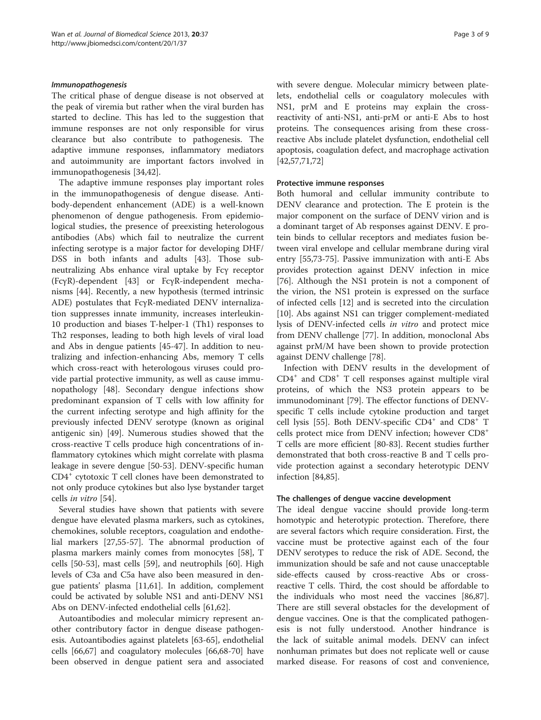## Immunopathogenesis

The critical phase of dengue disease is not observed at the peak of viremia but rather when the viral burden has started to decline. This has led to the suggestion that immune responses are not only responsible for virus clearance but also contribute to pathogenesis. The adaptive immune responses, inflammatory mediators and autoimmunity are important factors involved in immunopathogenesis [[34,42\]](#page-6-0).

The adaptive immune responses play important roles in the immunopathogenesis of dengue disease. Antibody-dependent enhancement (ADE) is a well-known phenomenon of dengue pathogenesis. From epidemiological studies, the presence of preexisting heterologous antibodies (Abs) which fail to neutralize the current infecting serotype is a major factor for developing DHF/ DSS in both infants and adults [\[43\]](#page-6-0). Those subneutralizing Abs enhance viral uptake by Fcγ receptor (FcγR)-dependent [[43](#page-6-0)] or FcγR-independent mechanisms [\[44\]](#page-6-0). Recently, a new hypothesis (termed intrinsic ADE) postulates that FcγR-mediated DENV internalization suppresses innate immunity, increases interleukin-10 production and biases T-helper-1 (Th1) responses to Th2 responses, leading to both high levels of viral load and Abs in dengue patients [\[45](#page-6-0)-[47\]](#page-6-0). In addition to neutralizing and infection-enhancing Abs, memory T cells which cross-react with heterologous viruses could provide partial protective immunity, as well as cause immunopathology [[48\]](#page-6-0). Secondary dengue infections show predominant expansion of T cells with low affinity for the current infecting serotype and high affinity for the previously infected DENV serotype (known as original antigenic sin) [\[49\]](#page-6-0). Numerous studies showed that the cross-reactive T cells produce high concentrations of inflammatory cytokines which might correlate with plasma leakage in severe dengue [[50-53](#page-6-0)]. DENV-specific human CD4<sup>+</sup> cytotoxic T cell clones have been demonstrated to not only produce cytokines but also lyse bystander target cells in vitro [\[54\]](#page-6-0).

Several studies have shown that patients with severe dengue have elevated plasma markers, such as cytokines, chemokines, soluble receptors, coagulation and endothelial markers [\[27,55](#page-6-0)-[57](#page-6-0)]. The abnormal production of plasma markers mainly comes from monocytes [[58\]](#page-6-0), T cells [\[50-53](#page-6-0)], mast cells [[59\]](#page-6-0), and neutrophils [[60](#page-6-0)]. High levels of C3a and C5a have also been measured in dengue patients' plasma [[11](#page-5-0)[,61](#page-6-0)]. In addition, complement could be activated by soluble NS1 and anti-DENV NS1 Abs on DENV-infected endothelial cells [[61](#page-6-0),[62](#page-6-0)].

Autoantibodies and molecular mimicry represent another contributory factor in dengue disease pathogenesis. Autoantibodies against platelets [[63-65\]](#page-6-0), endothelial cells [[66,](#page-6-0)[67](#page-7-0)] and coagulatory molecules [[66](#page-6-0),[68](#page-7-0)-[70\]](#page-7-0) have been observed in dengue patient sera and associated with severe dengue. Molecular mimicry between platelets, endothelial cells or coagulatory molecules with NS1, prM and E proteins may explain the crossreactivity of anti-NS1, anti-prM or anti-E Abs to host proteins. The consequences arising from these crossreactive Abs include platelet dysfunction, endothelial cell apoptosis, coagulation defect, and macrophage activation [[42,57,](#page-6-0)[71,72\]](#page-7-0)

## Protective immune responses

Both humoral and cellular immunity contribute to DENV clearance and protection. The E protein is the major component on the surface of DENV virion and is a dominant target of Ab responses against DENV. E protein binds to cellular receptors and mediates fusion between viral envelope and cellular membrane during viral entry [[55,](#page-6-0)[73-75](#page-7-0)]. Passive immunization with anti-E Abs provides protection against DENV infection in mice [[76\]](#page-7-0). Although the NS1 protein is not a component of the virion, the NS1 protein is expressed on the surface of infected cells [[12](#page-5-0)] and is secreted into the circulation [[10\]](#page-5-0). Abs against NS1 can trigger complement-mediated lysis of DENV-infected cells in vitro and protect mice from DENV challenge [[77\]](#page-7-0). In addition, monoclonal Abs against prM/M have been shown to provide protection against DENV challenge [[78](#page-7-0)].

Infection with DENV results in the development of  $CD4^+$  and  $CD8^+$  T cell responses against multiple viral proteins, of which the NS3 protein appears to be immunodominant [\[79\]](#page-7-0). The effector functions of DENVspecific T cells include cytokine production and target cell lysis [\[55\]](#page-6-0). Both DENV-specific CD4<sup>+</sup> and CD8<sup>+</sup> T cells protect mice from DENV infection; however CD8<sup>+</sup> T cells are more efficient [[80-83](#page-7-0)]. Recent studies further demonstrated that both cross-reactive B and T cells provide protection against a secondary heterotypic DENV infection [[84,85\]](#page-7-0).

## The challenges of dengue vaccine development

The ideal dengue vaccine should provide long-term homotypic and heterotypic protection. Therefore, there are several factors which require consideration. First, the vaccine must be protective against each of the four DENV serotypes to reduce the risk of ADE. Second, the immunization should be safe and not cause unacceptable side-effects caused by cross-reactive Abs or crossreactive T cells. Third, the cost should be affordable to the individuals who most need the vaccines [\[86,87](#page-7-0)]. There are still several obstacles for the development of dengue vaccines. One is that the complicated pathogenesis is not fully understood. Another hindrance is the lack of suitable animal models. DENV can infect nonhuman primates but does not replicate well or cause marked disease. For reasons of cost and convenience,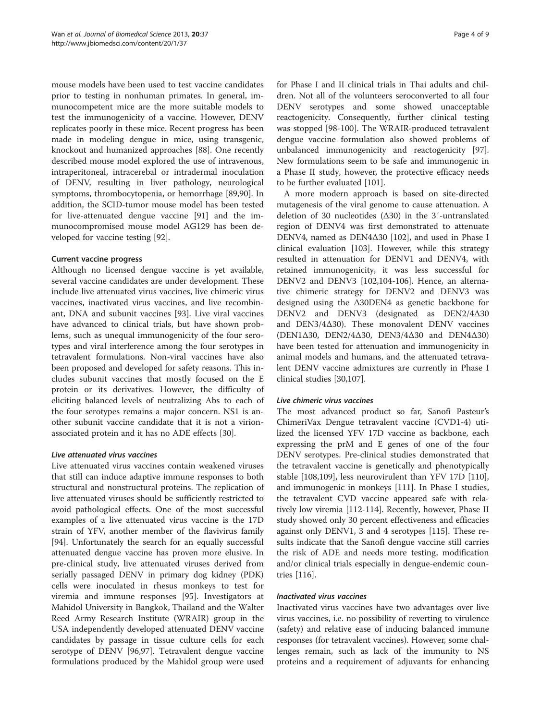mouse models have been used to test vaccine candidates prior to testing in nonhuman primates. In general, immunocompetent mice are the more suitable models to test the immunogenicity of a vaccine. However, DENV replicates poorly in these mice. Recent progress has been made in modeling dengue in mice, using transgenic, knockout and humanized approaches [\[88](#page-7-0)]. One recently described mouse model explored the use of intravenous, intraperitoneal, intracerebal or intradermal inoculation of DENV, resulting in liver pathology, neurological symptoms, thrombocytopenia, or hemorrhage [[89](#page-7-0),[90](#page-7-0)]. In addition, the SCID-tumor mouse model has been tested for live-attenuated dengue vaccine [[91](#page-7-0)] and the immunocompromised mouse model AG129 has been developed for vaccine testing [\[92](#page-7-0)].

## Current vaccine progress

Although no licensed dengue vaccine is yet available, several vaccine candidates are under development. These include live attenuated virus vaccines, live chimeric virus vaccines, inactivated virus vaccines, and live recombinant, DNA and subunit vaccines [\[93](#page-7-0)]. Live viral vaccines have advanced to clinical trials, but have shown problems, such as unequal immunogenicity of the four serotypes and viral interference among the four serotypes in tetravalent formulations. Non-viral vaccines have also been proposed and developed for safety reasons. This includes subunit vaccines that mostly focused on the E protein or its derivatives. However, the difficulty of eliciting balanced levels of neutralizing Abs to each of the four serotypes remains a major concern. NS1 is another subunit vaccine candidate that it is not a virionassociated protein and it has no ADE effects [[30\]](#page-6-0).

## Live attenuated virus vaccines

Live attenuated virus vaccines contain weakened viruses that still can induce adaptive immune responses to both structural and nonstructural proteins. The replication of live attenuated viruses should be sufficiently restricted to avoid pathological effects. One of the most successful examples of a live attenuated virus vaccine is the 17D strain of YFV, another member of the flavivirus family [[94\]](#page-7-0). Unfortunately the search for an equally successful attenuated dengue vaccine has proven more elusive. In pre-clinical study, live attenuated viruses derived from serially passaged DENV in primary dog kidney (PDK) cells were inoculated in rhesus monkeys to test for viremia and immune responses [[95](#page-7-0)]. Investigators at Mahidol University in Bangkok, Thailand and the Walter Reed Army Research Institute (WRAIR) group in the USA independently developed attenuated DENV vaccine candidates by passage in tissue culture cells for each serotype of DENV [\[96,97\]](#page-7-0). Tetravalent dengue vaccine formulations produced by the Mahidol group were used

for Phase I and II clinical trials in Thai adults and children. Not all of the volunteers seroconverted to all four DENV serotypes and some showed unacceptable reactogenicity. Consequently, further clinical testing was stopped [[98-100\]](#page-7-0). The WRAIR-produced tetravalent dengue vaccine formulation also showed problems of unbalanced immunogenicity and reactogenicity [\[97](#page-7-0)]. New formulations seem to be safe and immunogenic in a Phase II study, however, the protective efficacy needs to be further evaluated [\[101](#page-7-0)].

A more modern approach is based on site-directed mutagenesis of the viral genome to cause attenuation. A deletion of 30 nucleotides (Δ30) in the 3′-untranslated region of DENV4 was first demonstrated to attenuate DENV4, named as DEN4Δ30 [[102\]](#page-7-0), and used in Phase I clinical evaluation [[103\]](#page-7-0). However, while this strategy resulted in attenuation for DENV1 and DENV4, with retained immunogenicity, it was less successful for DENV2 and DENV3 [\[102,104-106](#page-7-0)]. Hence, an alternative chimeric strategy for DENV2 and DENV3 was designed using the Δ30DEN4 as genetic backbone for DENV2 and DENV3 (designated as DEN2/4Δ30 and DEN3/4Δ30). These monovalent DENV vaccines (DEN1Δ30, DEN2/4Δ30, DEN3/4Δ30 and DEN4Δ30) have been tested for attenuation and immunogenicity in animal models and humans, and the attenuated tetravalent DENV vaccine admixtures are currently in Phase I clinical studies [[30,](#page-6-0)[107\]](#page-7-0).

# Live chimeric virus vaccines

The most advanced product so far, Sanofi Pasteur's ChimeriVax Dengue tetravalent vaccine (CVD1-4) utilized the licensed YFV 17D vaccine as backbone, each expressing the prM and E genes of one of the four DENV serotypes. Pre-clinical studies demonstrated that the tetravalent vaccine is genetically and phenotypically stable [[108](#page-7-0),[109](#page-8-0)], less neurovirulent than YFV 17D [[110](#page-8-0)], and immunogenic in monkeys [[111\]](#page-8-0). In Phase I studies, the tetravalent CVD vaccine appeared safe with relatively low viremia [\[112-114](#page-8-0)]. Recently, however, Phase II study showed only 30 percent effectiveness and efficacies against only DENV1, 3 and 4 serotypes [\[115](#page-8-0)]. These results indicate that the Sanofi dengue vaccine still carries the risk of ADE and needs more testing, modification and/or clinical trials especially in dengue-endemic countries [\[116](#page-8-0)].

## Inactivated virus vaccines

Inactivated virus vaccines have two advantages over live virus vaccines, i.e. no possibility of reverting to virulence (safety) and relative ease of inducing balanced immune responses (for tetravalent vaccines). However, some challenges remain, such as lack of the immunity to NS proteins and a requirement of adjuvants for enhancing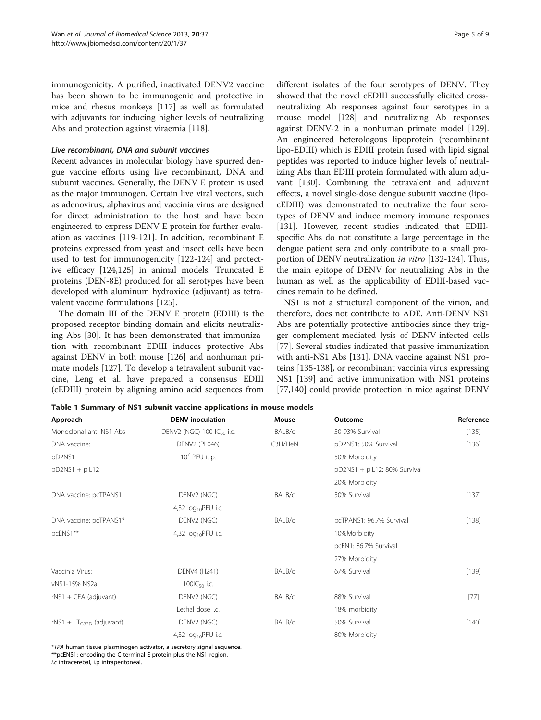<span id="page-4-0"></span>immunogenicity. A purified, inactivated DENV2 vaccine has been shown to be immunogenic and protective in mice and rhesus monkeys [[117\]](#page-8-0) as well as formulated with adjuvants for inducing higher levels of neutralizing Abs and protection against viraemia [[118\]](#page-8-0).

## Live recombinant, DNA and subunit vaccines

Recent advances in molecular biology have spurred dengue vaccine efforts using live recombinant, DNA and subunit vaccines. Generally, the DENV E protein is used as the major immunogen. Certain live viral vectors, such as adenovirus, alphavirus and vaccinia virus are designed for direct administration to the host and have been engineered to express DENV E protein for further evaluation as vaccines [\[119](#page-8-0)-[121\]](#page-8-0). In addition, recombinant E proteins expressed from yeast and insect cells have been used to test for immunogenicity [[122-124\]](#page-8-0) and protective efficacy [[124,125](#page-8-0)] in animal models. Truncated E proteins (DEN-8E) produced for all serotypes have been developed with aluminum hydroxide (adjuvant) as tetravalent vaccine formulations [\[125](#page-8-0)].

The domain III of the DENV E protein (EDIII) is the proposed receptor binding domain and elicits neutralizing Abs [\[30\]](#page-6-0). It has been demonstrated that immunization with recombinant EDIII induces protective Abs against DENV in both mouse [\[126\]](#page-8-0) and nonhuman primate models [\[127\]](#page-8-0). To develop a tetravalent subunit vaccine, Leng et al. have prepared a consensus EDIII (cEDIII) protein by aligning amino acid sequences from

different isolates of the four serotypes of DENV. They showed that the novel cEDIII successfully elicited crossneutralizing Ab responses against four serotypes in a mouse model [\[128](#page-8-0)] and neutralizing Ab responses against DENV-2 in a nonhuman primate model [[129](#page-8-0)]. An engineered heterologous lipoprotein (recombinant lipo-EDIII) which is EDIII protein fused with lipid signal peptides was reported to induce higher levels of neutralizing Abs than EDIII protein formulated with alum adjuvant [\[130](#page-8-0)]. Combining the tetravalent and adjuvant effects, a novel single-dose dengue subunit vaccine (lipocEDIII) was demonstrated to neutralize the four serotypes of DENV and induce memory immune responses [[131\]](#page-8-0). However, recent studies indicated that EDIIIspecific Abs do not constitute a large percentage in the dengue patient sera and only contribute to a small pro-portion of DENV neutralization in vitro [\[132-134](#page-8-0)]. Thus, the main epitope of DENV for neutralizing Abs in the human as well as the applicability of EDIII-based vaccines remain to be defined.

NS1 is not a structural component of the virion, and therefore, does not contribute to ADE. Anti-DENV NS1 Abs are potentially protective antibodies since they trigger complement-mediated lysis of DENV-infected cells [[77\]](#page-7-0). Several studies indicated that passive immunization with anti-NS1 Abs [[131\]](#page-8-0), DNA vaccine against NS1 proteins [\[135-138](#page-8-0)], or recombinant vaccinia virus expressing NS1 [[139\]](#page-8-0) and active immunization with NS1 proteins [[77,](#page-7-0)[140\]](#page-8-0) could provide protection in mice against DENV

| Approach                          | <b>DENV</b> inoculation               | Mouse   | Outcome                      | Reference |
|-----------------------------------|---------------------------------------|---------|------------------------------|-----------|
| Monoclonal anti-NS1 Abs           | DENV2 (NGC) 100 IC <sub>50</sub> i.c. | BALB/c  | 50-93% Survival              | [135]     |
| DNA vaccine:                      | <b>DENV2 (PL046)</b>                  | C3H/HeN | pD2NS1: 50% Survival         | [136]     |
| pD2NS1                            | $10^7$ PFU i. p.                      |         | 50% Morbidity                |           |
| $pD2NS1 + pIL12$                  |                                       |         | pD2NS1 + plL12: 80% Survival |           |
|                                   |                                       |         | 20% Morbidity                |           |
| DNA vaccine: pcTPANS1             | DENV <sub>2</sub> (NGC)               | BALB/c  | 50% Survival                 | [137]     |
|                                   | 4,32 log <sub>10</sub> PFU i.c.       |         |                              |           |
| DNA vaccine: pcTPANS1*            | DENV <sub>2</sub> (NGC)               | BALB/c  | pcTPANS1: 96.7% Survival     | [138]     |
| pcENS1**                          | 4,32 $log_{10}$ PFU i.c.              |         | 10%Morbidity                 |           |
|                                   |                                       |         | pcEN1: 86.7% Survival        |           |
|                                   |                                       |         | 27% Morbidity                |           |
| Vaccinia Virus:                   | DENV4 (H241)                          | BALB/c  | 67% Survival                 | [139]     |
| vNS1-15% NS2a                     | 100 $C_{50}$ i.c.                     |         |                              |           |
| $r$ NS1 + CFA (adjuvant)          | DENV <sub>2</sub> (NGC)               | BALB/c  | 88% Survival                 | $[77]$    |
|                                   | Lethal dose i.c.                      |         | 18% morbidity                |           |
| $r$ NS1 + LT $_{G33D}$ (adjuvant) | DENV <sub>2</sub> (NGC)               | BALB/c  | 50% Survival                 | $[140]$   |
|                                   | 4,32 $log_{10}$ PFU i.c.              |         | 80% Morbidity                |           |

Table 1 Summary of NS1 subunit vaccine applications in mouse models

\*TPA human tissue plasminogen activator, a secretory signal sequence.

\*\*pcENS1: encoding the C-terminal E protein plus the NS1 region.

i.c intracerebal, i.p intraperitoneal.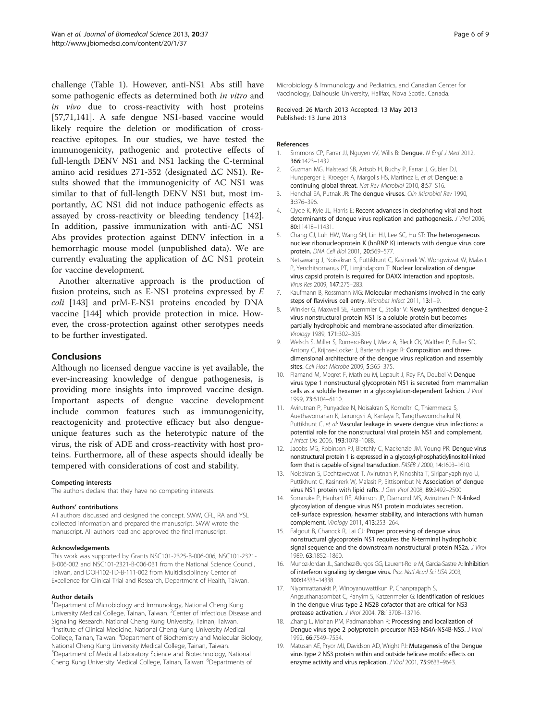<span id="page-5-0"></span>challenge (Table [1\)](#page-4-0). However, anti-NS1 Abs still have some pathogenic effects as determined both in vitro and in vivo due to cross-reactivity with host proteins [[57,](#page-6-0)[71,](#page-7-0)[141\]](#page-8-0). A safe dengue NS1-based vaccine would likely require the deletion or modification of crossreactive epitopes. In our studies, we have tested the immunogenicity, pathogenic and protective effects of full-length DENV NS1 and NS1 lacking the C-terminal amino acid residues 271-352 (designated ΔC NS1). Results showed that the immunogenicity of ΔC NS1 was similar to that of full-length DENV NS1 but, most importantly, ΔC NS1 did not induce pathogenic effects as assayed by cross-reactivity or bleeding tendency [\[142](#page-8-0)]. In addition, passive immunization with anti-ΔC NS1 Abs provides protection against DENV infection in a hemorrhagic mouse model (unpublished data). We are currently evaluating the application of ΔC NS1 protein for vaccine development.

Another alternative approach is the production of fusion proteins, such as E-NS1 proteins expressed by E coli [\[143\]](#page-8-0) and prM-E-NS1 proteins encoded by DNA vaccine [[144](#page-8-0)] which provide protection in mice. However, the cross-protection against other serotypes needs to be further investigated.

# Conclusions

Although no licensed dengue vaccine is yet available, the ever-increasing knowledge of dengue pathogenesis, is providing more insights into improved vaccine design. Important aspects of dengue vaccine development include common features such as immunogenicity, reactogenicity and protective efficacy but also dengueunique features such as the heterotypic nature of the virus, the risk of ADE and cross-reactivity with host proteins. Furthermore, all of these aspects should ideally be tempered with considerations of cost and stability.

#### Competing interests

The authors declare that they have no competing interests.

#### Authors' contributions

All authors discussed and designed the concept. SWW, CFL, RA and YSL collected information and prepared the manuscript. SWW wrote the manuscript. All authors read and approved the final manuscript.

#### Acknowledgements

This work was supported by Grants NSC101-2325-B-006-006, NSC101-2321- B-006-002 and NSC101-2321-B-006-031 from the National Science Council, Taiwan, and DOH102-TD-B-111-002 from Multidisciplinary Center of Excellence for Clinical Trial and Research, Department of Health, Taiwan.

#### Author details

<sup>1</sup>Department of Microbiology and Immunology, National Cheng Kung University Medical College, Tainan, Taiwan. <sup>2</sup>Center of Infectious Disease and Signaling Research, National Cheng Kung University, Tainan, Taiwan. <sup>3</sup>Institute of Clinical Medicine, National Cheng Kung University Medical College, Tainan, Taiwan. <sup>4</sup>Department of Biochemistry and Molecular Biology, National Cheng Kung University Medical College, Tainan, Taiwan. 5 Department of Medical Laboratory Science and Biotechnology, National Cheng Kung University Medical College, Tainan, Taiwan. <sup>6</sup> Departments of

Microbiology & Immunology and Pediatrics, and Canadian Center for Vaccinology, Dalhousie University, Halifax, Nova Scotia, Canada.

Received: 26 March 2013 Accepted: 13 May 2013 Published: 13 June 2013

#### References

- Simmons CP, Farrar JJ, Nguyen vV, Wills B: Dengue. N Engl J Med 2012, 366:1423–1432.
- 2. Guzman MG, Halstead SB, Artsob H, Buchy P, Farrar J, Gubler DJ, Hunsperger E, Kroeger A, Margolis HS, Martinez E, et al: Dengue: a continuing global threat. Nat Rev Microbiol 2010, 8:S7–S16.
- Henchal EA, Putnak JR: The dengue viruses. Clin Microbiol Rev 1990, 3:376–396.
- Clyde K, Kyle JL, Harris E: Recent advances in deciphering viral and host determinants of dengue virus replication and pathogenesis. J Virol 2006, 80:11418–11431.
- 5. Chang CJ, Luh HW, Wang SH, Lin HJ, Lee SC, Hu ST: The heterogeneous nuclear ribonucleoprotein K (hnRNP K) interacts with dengue virus core protein. DNA Cell Biol 2001, 20:569–577.
- 6. Netsawang J, Noisakran S, Puttikhunt C, Kasinrerk W, Wongwiwat W, Malasit P, Yenchitsomanus PT, Limjindaporn T: Nuclear localization of dengue virus capsid protein is required for DAXX interaction and apoptosis. Virus Res 2009, 147:275–283.
- 7. Kaufmann B, Rossmann MG: Molecular mechanisms involved in the early steps of flavivirus cell entry. Microbes Infect 2011, 13:1–9.
- 8. Winkler G, Maxwell SE, Ruemmler C, Stollar V: Newly synthesized dengue-2 virus nonstructural protein NS1 is a soluble protein but becomes partially hydrophobic and membrane-associated after dimerization. Virology 1989, 171:302–305.
- 9. Welsch S, Miller S, Romero-Brey I, Merz A, Bleck CK, Walther P, Fuller SD, Antony C, Krijnse-Locker J, Bartenschlager R: Composition and threedimensional architecture of the dengue virus replication and assembly sites. Cell Host Microbe 2009, 5:365-375.
- 10. Flamand M, Megret F, Mathieu M, Lepault J, Rey FA, Deubel V: Dengue virus type 1 nonstructural glycoprotein NS1 is secreted from mammalian cells as a soluble hexamer in a glycosylation-dependent fashion. J Virol 1999, 73:6104–6110.
- 11. Avirutnan P, Punyadee N, Noisakran S, Komoltri C, Thiemmeca S, Auethavornanan K, Jairungsri A, Kanlaya R, Tangthawornchaikul N, Puttikhunt C, et al: Vascular leakage in severe dengue virus infections: a potential role for the nonstructural viral protein NS1 and complement. J Infect Dis 2006, 193:1078–1088.
- 12. Jacobs MG, Robinson PJ, Bletchly C, Mackenzie JM, Young PR: Dengue virus nonstructural protein 1 is expressed in a glycosyl-phosphatidylinositol-linked form that is capable of signal transduction. FASEB J 2000, 14:1603–1610.
- 13. Noisakran S, Dechtawewat T, Avirutnan P, Kinoshita T, Siripanyaphinyo U, Puttikhunt C, Kasinrerk W, Malasit P, Sittisombut N: Association of dengue virus NS1 protein with lipid rafts. J Gen Virol 2008, 89:2492–2500.
- 14. Somnuke P, Hauhart RE, Atkinson JP, Diamond MS, Avirutnan P: N-linked glycosylation of dengue virus NS1 protein modulates secretion, cell-surface expression, hexamer stability, and interactions with human complement. Virology 2011, 413:253–264.
- 15. Falgout B, Chanock R, Lai CJ: Proper processing of dengue virus nonstructural glycoprotein NS1 requires the N-terminal hydrophobic signal sequence and the downstream nonstructural protein NS2a. J Virol 1989, 63:1852–1860.
- 16. Munoz-Jordan JL, Sanchez-Burgos GG, Laurent-Rolle M, Garcia-Sastre A: Inhibition of interferon signaling by dengue virus. Proc Natl Acad Sci USA 2003, 100:14333–14338.
- 17. Niyomrattanakit P, Winoyanuwattikun P, Chanprapaph S, Angsuthanasombat C, Panyim S, Katzenmeier G: Identification of residues in the dengue virus type 2 NS2B cofactor that are critical for NS3 protease activation. J Virol 2004, 78:13708–13716.
- 18. Zhang L, Mohan PM, Padmanabhan R: Processing and localization of Dengue virus type 2 polyprotein precursor NS3-NS4A-NS4B-NS5. J Virol 1992, 66:7549–7554.
- 19. Matusan AE, Pryor MJ, Davidson AD, Wright PJ: Mutagenesis of the Dengue virus type 2 NS3 protein within and outside helicase motifs: effects on enzyme activity and virus replication. J Virol 2001, 75:9633-9643.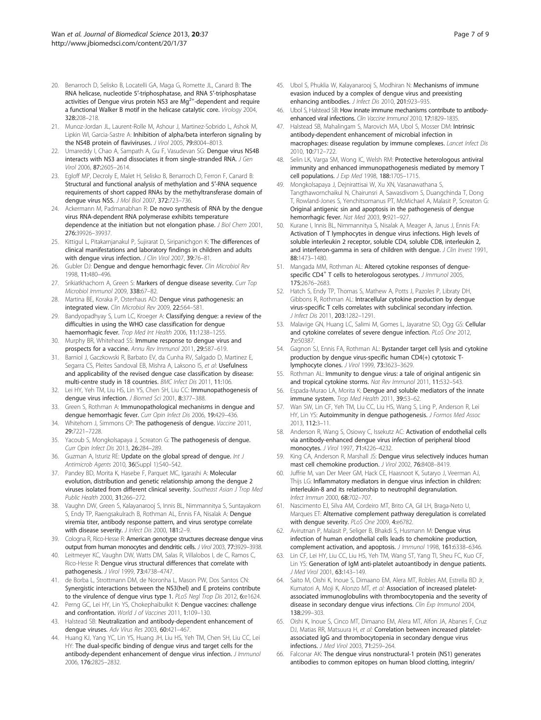- <span id="page-6-0"></span>20. Benarroch D, Selisko B, Locatelli GA, Maga G, Romette JL, Canard B: The RNA helicase, nucleotide 5′-triphosphatase, and RNA 5′-triphosphatase activities of Dengue virus protein NS3 are  $Mg^{2+}$ -dependent and require a functional Walker B motif in the helicase catalytic core. Virology 2004, 328:208–218.
- 21. Munoz-Jordan JL, Laurent-Rolle M, Ashour J, Martinez-Sobrido L, Ashok M, Lipkin WI, Garcia-Sastre A: Inhibition of alpha/beta interferon signaling by the NS4B protein of flaviviruses. J Virol 2005, 79:8004-8013.
- 22. Umareddy I, Chao A, Sampath A, Gu F, Vasudevan SG: Denque virus NS4B interacts with NS3 and dissociates it from single-stranded RNA. J Gen Virol 2006, 87:2605–2614.
- 23. Egloff MP, Decroly E, Malet H, Selisko B, Benarroch D, Ferron F, Canard B: Structural and functional analysis of methylation and 5′-RNA sequence requirements of short capped RNAs by the methyltransferase domain of dengue virus NS5. J Mol Biol 2007, 372:723–736.
- 24. Ackermann M, Padmanabhan R: De novo synthesis of RNA by the dengue virus RNA-dependent RNA polymerase exhibits temperature dependence at the initiation but not elongation phase. J Biol Chem 2001, 276:39926–39937.
- 25. Kittigul L, Pitakarnjanakul P, Sujirarat D, Siripanichgon K: The differences of clinical manifestations and laboratory findings in children and adults with dengue virus infection. J Clin Virol 2007, 39:76-81.
- 26. Gubler DJ: Dengue and dengue hemorrhagic fever. Clin Microbiol Rev 1998, 11:480–496.
- 27. Srikiatkhachorn A, Green S: Markers of dengue disease severity. Curr Top Microbiol Immunol 2009, 338:67–82.
- 28. Martina BE, Koraka P, Osterhaus AD: Dengue virus pathogenesis: an integrated view. Clin Microbiol Rev 2009, 22:564–581.
- 29. Bandyopadhyay S, Lum LC, Kroeger A: Classifying dengue: a review of the difficulties in using the WHO case classification for dengue haemorrhagic fever. Trop Med Int Health 2006, 11:1238–1255.
- 30. Murphy BR, Whitehead SS: Immune response to dengue virus and prospects for a vaccine. Annu Rev Immunol 2011, 29:587–619.
- 31. Barniol J, Gaczkowski R, Barbato EV, da Cunha RV, Salgado D, Martinez E, Segarra CS, Pleites Sandoval EB, Mishra A, Laksono IS, et al: Usefulness and applicability of the revised dengue case classification by disease: multi-centre study in 18 countries. BMC Infect Dis 2011, 11:106.
- 32. Lei HY, Yeh TM, Liu HS, Lin YS, Chen SH, Liu CC: Immunopathogenesis of dengue virus infection. J Biomed Sci 2001, 8:377-388.
- 33. Green S, Rothman A: Immunopathological mechanisms in dengue and dengue hemorrhagic fever. Curr Opin Infect Dis 2006, 19:429–436.
- 34. Whitehorn J, Simmons CP: The pathogenesis of dengue. Vaccine 2011, 29:7221–7228.
- 35. Yacoub S, Mongkolsapaya J, Screaton G: The pathogenesis of dengue. Curr Opin Infect Dis 2013, 26:284–289.
- 36. Guzman A, Isturiz RE: Update on the global spread of dengue. Int J Antimicrob Agents 2010, 36(Suppl 1):S40-S42.
- 37. Pandey BD, Morita K, Hasebe F, Parquet MC, Igarashi A: Molecular evolution, distribution and genetic relationship among the dengue 2 viruses isolated from different clinical severity. Southeast Asian J Trop Med Public Health 2000, 31:266–272.
- 38. Vaughn DW, Green S, Kalayanarooj S, Innis BL, Nimmannitya S, Suntayakorn S, Endy TP, Raengsakulrach B, Rothman AL, Ennis FA, Nisalak A: Dengue viremia titer, antibody response pattern, and virus serotype correlate with disease severity. J Infect Dis 2000, 181:2-9.
- 39. Cologna R, Rico-Hesse R: American genotype structures decrease dengue virus output from human monocytes and dendritic cells. J Virol 2003, 77:3929-3938.
- 40. Leitmeyer KC, Vaughn DW, Watts DM, Salas R, Villalobos I, de C, Ramos C, Rico-Hesse R: Dengue virus structural differences that correlate with pathogenesis. J Virol 1999, 73:4738–4747.
- 41. de Borba L, Strottmann DM, de Noronha L, Mason PW, Dos Santos CN: Synergistic interactions between the NS3(hel) and E proteins contribute to the virulence of dengue virus type 1. PLoS Negl Trop Dis 2012, 6:e1624.
- 42. Perng GC, Lei HY, Lin YS, Chokephaibulkit K: Dengue vaccines: challenge and confrontation. World J of Vaccines 2011, 1:109-130.
- 43. Halstead SB: Neutralization and antibody-dependent enhancement of dengue viruses. Adv Virus Res 2003, 60:421–467.
- 44. Huang KJ, Yang YC, Lin YS, Huang JH, Liu HS, Yeh TM, Chen SH, Liu CC, Lei HY: The dual-specific binding of dengue virus and target cells for the antibody-dependent enhancement of dengue virus infection. J Immunol 2006, 176:2825–2832.
- 45. Ubol S, Phuklia W, Kalayanarooj S, Modhiran N: Mechanisms of immune evasion induced by a complex of dengue virus and preexisting enhancing antibodies. J Infect Dis 2010, 201:923-935.
- 46. Ubol S, Halstead SB: How innate immune mechanisms contribute to antibodyenhanced viral infections. Clin Vaccine Immunol 2010, 17:1829–1835.
- 47. Halstead SB, Mahalingam S, Marovich MA, Ubol S, Mosser DM: Intrinsic antibody-dependent enhancement of microbial infection in macrophages: disease regulation by immune complexes. Lancet Infect Dis 2010, 10:712–722.
- 48. Selin LK, Varga SM, Wong IC, Welsh RM: Protective heterologous antiviral immunity and enhanced immunopathogenesis mediated by memory T cell populations. J Exp Med 1998, 188:1705–1715.
- 49. Mongkolsapaya J, Dejnirattisai W, Xu XN, Vasanawathana S, Tangthawornchaikul N, Chairunsri A, Sawasdivorn S, Duangchinda T, Dong T, Rowland-Jones S, Yenchitsomanus PT, McMichael A, Malasit P, Screaton G: Original antigenic sin and apoptosis in the pathogenesis of dengue hemorrhagic fever. Nat Med 2003, 9:921–927.
- Kurane I, Innis BL, Nimmannitya S, Nisalak A, Meager A, Janus J, Ennis FA: Activation of T lymphocytes in dengue virus infections. High levels of soluble interleukin 2 receptor, soluble CD4, soluble CD8, interleukin 2, and interferon-gamma in sera of children with dengue. J Clin Invest 1991, 88:1473–1480.
- 51. Mangada MM, Rothman AL: Altered cytokine responses of denguespecific CD4<sup>+</sup> T cells to heterologous serotypes. J Immunol 2005, 175:2676–2683.
- 52. Hatch S, Endy TP, Thomas S, Mathew A, Potts J, Pazoles P, Libraty DH, Gibbons R, Rothman AL: Intracellular cytokine production by dengue virus-specific T cells correlates with subclinical secondary infection. J Infect Dis 2011, 203:1282-1291.
- 53. Malavige GN, Huang LC, Salimi M, Gomes L, Jayaratne SD, Ogg GS: Cellular and cytokine correlates of severe dengue infection. PLoS One 2012, 7:e50387.
- 54. Gagnon SJ, Ennis FA, Rothman AL: Bystander target cell lysis and cytokine production by dengue virus-specific human CD4(+) cytotoxic Tlymphocyte clones. J Virol 1999, 73:3623–3629.
- 55. Rothman AL: Immunity to dengue virus: a tale of original antigenic sin and tropical cytokine storms. Nat Rev Immunol 2011, 11:532–543.
- 56. Espada-Murao LA, Morita K: Dengue and soluble mediators of the innate immune system. Trop Med Health 2011, 39:53-62.
- 57. Wan SW, Lin CF, Yeh TM, Liu CC, Liu HS, Wang S, Ling P, Anderson R, Lei HY, Lin YS: Autoimmunity in dengue pathogenesis. J Formos Med Assoc 2013, 112:3–11.
- 58. Anderson R, Wang S, Osiowy C, Issekutz AC: Activation of endothelial cells via antibody-enhanced dengue virus infection of peripheral blood monocytes. J Virol 1997, 71:4226–4232.
- 59. King CA, Anderson R, Marshall JS: Dengue virus selectively induces human mast cell chemokine production. J Virol 2002, 76:8408–8419.
- 60. Juffrie M, van Der Meer GM, Hack CE, Haasnoot K, Sutaryo J, Veerman AJ, Thijs LG: Inflammatory mediators in dengue virus infection in children: interleukin-8 and its relationship to neutrophil degranulation. Infect Immun 2000, 68:702–707.
- 61. Nascimento EJ, Silva AM, Cordeiro MT, Brito CA, Gil LH, Braga-Neto U, Marques ET: Alternative complement pathway deregulation is correlated with dengue severity. PLoS One 2009, 4:e6782.
- 62. Avirutnan P, Malasit P, Seliger B, Bhakdi S, Husmann M: Dengue virus infection of human endothelial cells leads to chemokine production, complement activation, and apoptosis. J Immunol 1998, 161:6338-6346.
- 63. Lin CF, Lei HY, Liu CC, Liu HS, Yeh TM, Wang ST, Yang TI, Sheu FC, Kuo CF, Lin YS: Generation of IgM anti-platelet autoantibody in dengue patients. J Med Virol 2001, 63:143–149.
- Saito M, Oishi K, Inoue S, Dimaano EM, Alera MT, Robles AM, Estrella BD Jr, Kumatori A, Moji K, Alonzo MT, et al: Association of increased plateletassociated immunoglobulins with thrombocytopenia and the severity of disease in secondary dengue virus infections. Clin Exp Immunol 2004, 138:299–303.
- 65. Oishi K, Inoue S, Cinco MT, Dimaano EM, Alera MT, Alfon JA, Abanes F, Cruz DJ, Matias RR, Matsuura H, et al: Correlation between increased plateletassociated IgG and thrombocytopenia in secondary dengue virus infections. J Med Virol 2003, 71:259–264.
- 66. Falconar AK: The dengue virus nonstructural-1 protein (NS1) generates antibodies to common epitopes on human blood clotting, integrin/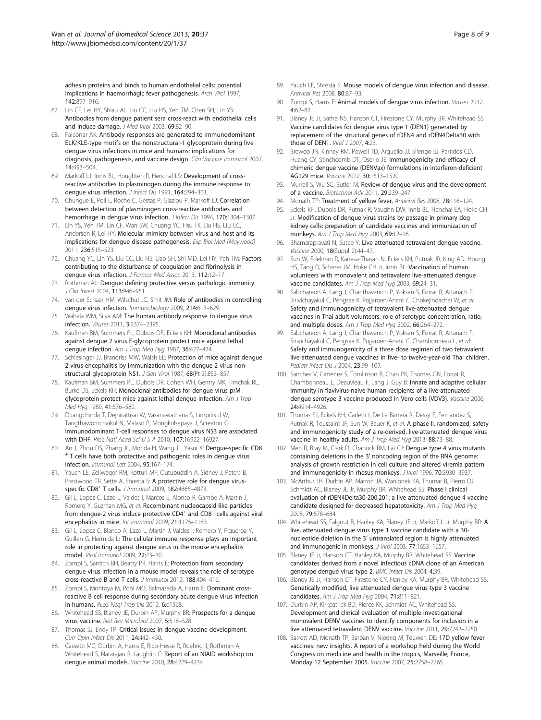<span id="page-7-0"></span>adhesin proteins and binds to human endothelial cells: potential implications in haemorrhagic fever pathogenesis. Arch Virol 1997, 142:897–916.

- 67. Lin CF, Lei HY, Shiau AL, Liu CC, Liu HS, Yeh TM, Chen SH, Lin YS: Antibodies from dengue patient sera cross-react with endothelial cells and induce damage. J Med Virol 2003, 69:82–90.
- 68. Falconar AK: Antibody responses are generated to immunodominant ELK/KLE-type motifs on the nonstructural-1 glycoprotein during live dengue virus infections in mice and humans: implications for diagnosis, pathogenesis, and vaccine design. Clin Vaccine Immunol 2007, 14:493–504.
- 69. Markoff LJ, Innis BL, Houghten R, Henchal LS: Development of crossreactive antibodies to plasminogen during the immune response to dengue virus infection. J Infect Dis 1991, 164:294–301.
- 70. Chungue E, Poli L, Roche C, Gestas P, Glaziou P, Markoff LJ: Correlation between detection of plasminogen cross-reactive antibodies and hemorrhage in dengue virus infection. J Infect Dis 1994, 170:1304-1307.
- 71. Lin YS, Yeh TM, Lin CF, Wan SW, Chuang YC, Hsu TK, Liu HS, Liu CC, Anderson R, Lei HY: Molecular mimicry between virus and host and its implications for dengue disease pathogenesis. Exp Biol Med (Maywood) 2011, 236:515–523.
- 72. Chuang YC, Lin YS, Liu CC, Liu HS, Liao SH, Shi MD, Lei HY, Yeh TM: Factors contributing to the disturbance of coagulation and fibrinolysis in dengue virus infection. J Formos Med Assoc 2013, 112:12-17
- 73. Rothman AL: Dengue: defining protective versus pathologic immunity. J Clin Invest 2004, 113:946–951.
- 74. van der Schaar HM, Wilschut JC, Smit JM: Role of antibodies in controlling dengue virus infection. Immunobiology 2009, 214:613–629.
- 75. Wahala WM, Silva AM: The human antibody response to dengue virus infection. Viruses 2011, 3:2374–2395.
- 76. Kaufman BM, Summers PL, Dubois DR, Eckels KH: Monoclonal antibodies against dengue 2 virus E-glycoprotein protect mice against lethal dengue infection. Am J Trop Med Hyg 1987, 36:427-434.
- 77. Schlesinger JJ, Brandriss MW, Walsh EE: Protection of mice against dengue 2 virus encephalitis by immunization with the dengue 2 virus nonstructural glycoprotein NS1. J Gen Virol 1987, 68(Pt 3):853–857.
- 78. Kaufman BM, Summers PL, Dubois DR, Cohen WH, Gentry MK, Timchak RL, Burke DS, Eckels KH: Monoclonal antibodies for dengue virus prM glycoprotein protect mice against lethal dengue infection. Am J Trop Med Hyg 1989, 41:576–580.
- 79. Duangchinda T, Dejnirattisai W, Vasanawathana S, Limpitikul W, Tangthawornchaikul N, Malasit P, Mongkolsapaya J, Screaton G: Immunodominant T-cell responses to dengue virus NS3 are associated with DHF. Proc Natl Acad Sci U S A 2010, 107:16922–16927.
- 80. An J, Zhou DS, Zhang JL, Morida H, Wang JL, Yasui K: Dengue-specific CD8 + T cells have both protective and pathogenic roles in dengue virus infection. Immunol Lett 2004, 95:167–174.
- 81. Yauch LE, Zellweger RM, Kotturi MF, Qutubuddin A, Sidney J, Peters B, Prestwood TR, Sette A, Shresta S: A protective role for dengue virusspecific CD8<sup>+</sup> T cells. *J Immunol* 2009, 182:4865-4873.
- 82. Gil L, Lopez C, Lazo L, Valdes I, Marcos E, Alonso R, Gambe A, Martin J, Romero Y, Guzman MG, et al: Recombinant nucleocapsid-like particles from dengue-2 virus induce protective  $CD4^+$  and  $CD8^+$  cells against viral encephalitis in mice. Int Immunol 2009, 21:1175–1183.
- 83. Gil L, Lopez C, Blanco A, Lazo L, Martin J, Valdes I, Romero Y, Figueroa Y, Guillen G, Hermida L: The cellular immune response plays an important role in protecting against dengue virus in the mouse encephalitis model. Viral Immunol 2009, 22:23–30.
- 84. Zompi S, Santich BH, Beatty PR, Harris E: Protection from secondary dengue virus infection in a mouse model reveals the role of serotype cross-reactive B and T cells. J Immunol 2012, 188:404–416.
- 85. Zompi S, Montoya M, Pohl MO, Balmaseda A, Harris E: Dominant crossreactive B cell response during secondary acute dengue virus infection in humans. PLoS Negl Trop Dis 2012, 6:e1568.
- 86. Whitehead SS, Blaney JE, Durbin AP, Murphy BR: Prospects for a dengue virus vaccine. Nat Rev Microbiol 2007, 5:518–528.
- 87. Thomas SJ, Endy TP: Critical issues in dengue vaccine development. Curr Opin Infect Dis 2011, 24:442–450.
- 88. Cassetti MC, Durbin A, Harris E, Rico-Hesse R, Roehrig J, Rothman A, Whitehead S, Natarajan R, Laughlin C: Report of an NIAID workshop on dengue animal models. Vaccine 2010, 28:4229–4234.
- 89. Yauch LE, Shresta S: Mouse models of dengue virus infection and disease. Antiviral Res 2008, 80:87–93.
- 90. Zompi S, Harris E: Animal models of dengue virus infection. Viruses 2012, 4:62–82.
- 91. Blaney JE Jr, Sathe NS, Hanson CT, Firestone CY, Murphy BR, Whitehead SS: Vaccine candidates for dengue virus type 1 (DEN1) generated by replacement of the structural genes of rDEN4 and rDEN4Delta30 with those of DEN1. Virol J 2007, 4:23.
- 92. Brewoo JN, Kinney RM, Powell TD, Arguello JJ, Silengo SJ, Partidos CD, Huang CY, Stinchcomb DT, Osorio JE: Immunogenicity and efficacy of chimeric dengue vaccine (DENVax) formulations in interferon-deficient AG129 mice. Vaccine 2012, 30:1513–1520.
- 93. Murrell S, Wu SC, Butler M: Review of dengue virus and the development of a vaccine. Biotechnol Adv 2011, 29:239–247.
- 94. Monath TP: Treatment of yellow fever. Antiviral Res 2008, 78:116-124.
- 95. Eckels KH, Dubois DR, Putnak R, Vaughn DW, Innis BL, Henchal EA, Hoke CH Jr: Modification of dengue virus strains by passage in primary dog kidney cells: preparation of candidate vaccines and immunization of monkeys. Am J Trop Med Hyg 2003, 69:12-16.
- 96. Bhamarapravati N, Sutee Y: Live attenuated tetravalent dengue vaccine. Vaccine 2000, 18(Suppl 2):44–47.
- 97. Sun W, Edelman R, Kanesa-Thasan N, Eckels KH, Putnak JR, King AD, Houng HS, Tang D, Scherer JM, Hoke CH Jr, Innis BL: Vaccination of human volunteers with monovalent and tetravalent live-attenuated dengue vaccine candidates. Am J Trop Med Hyg 2003, 69:24–31.
- 98. Sabchareon A, Lang J, Chanthavanich P, Yoksan S, Forrat R, Attanath P, Sirivichayakul C, Pengsaa K, Pojjaroen-Anant C, Chokejindachai W, et al: Safety and immunogenicity of tetravalent live-attenuated dengue vaccines in Thai adult volunteers: role of serotype concentration, ratio, and multiple doses. Am J Trop Med Hyg 2002, 66:264-272.
- 99. Sabchareon A, Lang J, Chanthavanich P, Yoksan S, Forrat R, Attanath P, Sirivichayakul C, Pengsaa K, Pojjaroen-Anant C, Chambonneau L, et al: Safety and immunogenicity of a three dose regimen of two tetravalent live-attenuated dengue vaccines in five- to twelve-year-old Thai children. Pediatr Infect Dis J 2004, 23:99–109.
- 100. Sanchez V, Gimenez S, Tomlinson B, Chan PK, Thomas GN, Forrat R, Chambonneau L, Deauvieau F, Lang J, Guy B: Innate and adaptive cellular immunity in flavivirus-naive human recipients of a live-attenuated dengue serotype 3 vaccine produced in Vero cells (VDV3). Vaccine 2006, 24:4914–4926.
- 101. Thomas SJ, Eckels KH, Carletti I, De La Barrera R, Dessy F, Fernandez S, Putnak R, Toussaint JF, Sun W, Bauer K, et al: A phase II, randomized, safety and immunogenicity study of a re-derived, live-attenuated dengue virus vaccine in healthy adults. Am J Trop Med Hyg 2013, 88:73–88.
- 102. Men R, Bray M, Clark D, Chanock RM, Lai CJ: Dengue type 4 virus mutants containing deletions in the 3′ noncoding region of the RNA genome: analysis of growth restriction in cell culture and altered viremia pattern and immunogenicity in rhesus monkeys. J Virol 1996, 70:3930–3937.
- 103. McArthur JH, Durbin AP, Marron JA, Wanionek KA, Thumar B, Pierro DJ, Schmidt AC, Blaney JE Jr, Murphy BR, Whitehead SS: Phase I clinical evaluation of rDEN4Delta30-200,201: a live attenuated dengue 4 vaccine candidate designed for decreased hepatotoxicity. Am J Trop Med Hyg 2008, 79:678–684.
- 104. Whitehead SS, Falgout B, Hanley KA, Blaney JE Jr, Markoff L Jr, Murphy BR: A live, attenuated dengue virus type 1 vaccine candidate with a 30 nucleotide deletion in the 3′ untranslated region is highly attenuated and immunogenic in monkeys. J Virol 2003, 77:1653-1657
- 105. Blaney JE Jr, Hanson CT, Hanley KA, Murphy BR, Whitehead SS: Vaccine candidates derived from a novel infectious cDNA clone of an American genotype dengue virus type 2. BMC Infect Dis 2004, 4:39.
- 106. Blaney JE Jr, Hanson CT, Firestone CY, Hanley KA, Murphy BR, Whitehead SS: Genetically modified, live attenuated dengue virus type 3 vaccine candidates. Am J Trop Med Hyg 2004, 71:811–821.
- 107. Durbin AP, Kirkpatrick BD, Pierce KK, Schmidt AC, Whitehead SS: Development and clinical evaluation of multiple investigational monovalent DENV vaccines to identify components for inclusion in a live attenuated tetravalent DENV vaccine. Vaccine 2011, 29:7242–7250.
- 108. Barrett AD, Monath TP, Barban V, Niedrig M, Teuwen DE: 17D yellow fever vaccines: new insights. A report of a workshop held during the World Congress on medicine and health in the tropics, Marseille, France, Monday 12 September 2005. Vaccine 2007, 25:2758–2765.